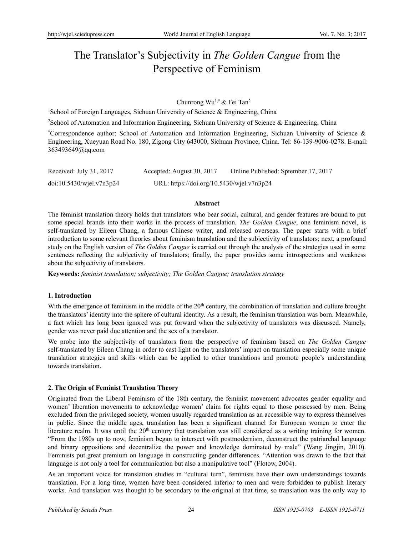# The Translator's Subjectivity in *The Golden Cangue* from the Perspective of Feminism

Chunrong Wu1,\* & Fei Tan2

<sup>1</sup>School of Foreign Languages, Sichuan University of Science & Engineering, China

<sup>2</sup>School of Automation and Information Engineering, Sichuan University of Science & Engineering, China

\* Correspondence author: School of Automation and Information Engineering, Sichuan University of Science & Engineering, Xueyuan Road No. 180, Zigong City 643000, Sichuan Province, China. Tel: 86-139-9006-0278. E-mail: 363493649@qq.com

| Received: July 31, 2017     | Accepted: August 30, 2017                 | Online Published: Sptember 17, 2017 |
|-----------------------------|-------------------------------------------|-------------------------------------|
| $doi:10.5430/w$ jel.v7n3p24 | URL: https://doi.org/10.5430/wjel.v7n3p24 |                                     |

#### **Abstract**

The feminist translation theory holds that translators who bear social, cultural, and gender features are bound to put some special brands into their works in the process of translation. *The Golden Cangue*, one feminism novel, is self-translated by Eileen Chang, a famous Chinese writer, and released overseas. The paper starts with a brief introduction to some relevant theories about feminism translation and the subjectivity of translators; next, a profound study on the English version of *The Golden Cangue* is carried out through the analysis of the strategies used in some sentences reflecting the subjectivity of translators; finally, the paper provides some introspections and weakness about the subjectivity of translators.

**Keywords:** *feminist translation; subjectivity; The Golden Cangue; translation strategy*

# **1. Introduction**

With the emergence of feminism in the middle of the 20<sup>th</sup> century, the combination of translation and culture brought the translators' identity into the sphere of cultural identity. As a result, the feminism translation was born. Meanwhile, a fact which has long been ignored was put forward when the subjectivity of translators was discussed. Namely, gender was never paid due attention and the sex of a translator.

We probe into the subjectivity of translators from the perspective of feminism based on *The Golden Cangue* self-translated by Eileen Chang in order to cast light on the translators' impact on translation especially some unique translation strategies and skills which can be applied to other translations and promote people's understanding towards translation.

# **2. The Origin of Feminist Translation Theory**

Originated from the Liberal Feminism of the 18th century, the feminist movement advocates gender equality and women' liberation movements to acknowledge women' claim for rights equal to those possessed by men. Being excluded from the privileged society, women usually regarded translation as an accessible way to express themselves in public. Since the middle ages, translation has been a significant channel for European women to enter the literature realm. It was until the  $20<sup>th</sup>$  century that translation was still considered as a writing training for women. "From the 1980s up to now, feminism began to intersect with postmodernism, deconstruct the patriarchal language and binary oppositions and decentralize the power and knowledge dominated by male" (Wang Jingjin, 2010). Feminists put great premium on language in constructing gender differences. "Attention was drawn to the fact that language is not only a tool for communication but also a manipulative tool" (Flotow, 2004).

As an important voice for translation studies in "cultural turn", feminists have their own understandings towards translation. For a long time, women have been considered inferior to men and were forbidden to publish literary works. And translation was thought to be secondary to the original at that time, so translation was the only way to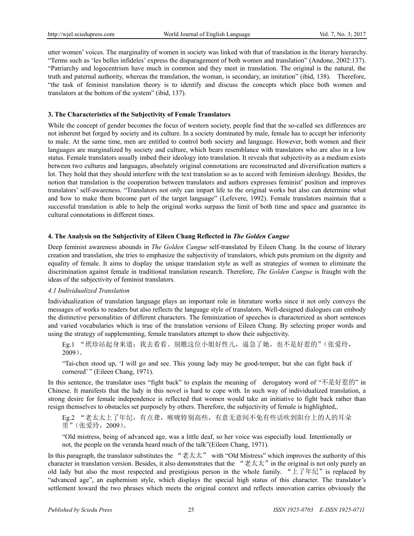utter women' voices. The marginality of women in society was linked with that of translation in the literary hierarchy. "Terms such as 'les belles infideles' express the disparagement of both women and translation" (Andone, 2002:137). "Patriarchy and logocentrism have much in common and they meet in translation. The original is the natural, the truth and paternal authority, whereas the translation, the woman, is secondary, an imitation" (ibid, 138). Therefore, "the task of feminist translation theory is to identify and discuss the concepts which place both women and translators at the bottom of the system" (ibid, 137).

# **3. The Characteristics of the Subjectivity of Female Translators**

While the concept of gender becomes the focus of western society, people find that the so-called sex differences are not inherent but forged by society and its culture. In a society dominated by male, female has to accept her inferiority to male. At the same time, men are entitled to control both society and language. However, both women and their languages are marginalized by society and culture, which bears resemblance with translators who are also in a low status. Female translators usually imbed their ideology into translation. It reveals that subjectivity as a medium exists between two cultures and languages, absolutely original connotations are reconstructed and diversification matters a lot. They hold that they should interfere with the text translation so as to accord with feminism ideology. Besides, the notion that translation is the cooperation between translators and authors expresses feminist' position and improves translators' self-awareness. "Translators not only can impart life to the original works but also can determine what and how to make them become part of the target language" (Lefevere, 1992). Female translators maintain that a successful translation is able to help the original works surpass the limit of both time and space and guarantee its cultural connotations in different times.

# **4. The Analysis on the Subjectivity of Eileen Chang Reflected in** *The Golden Cangue*

Deep feminist awareness abounds in *The Golden Cangue* self-translated by Eileen Chang. In the course of literary creation and translation, she tries to emphasize the subjectivity of translators, which puts premium on the dignity and equality of female. It aims to display the unique translation style as well as strategies of women to eliminate the discrimination against female in traditional translation research. Therefore, *The Golden Cangue* is fraught with the ideas of the subjectivity of feminist translators.

# *4.1 Individualized Translation*

Individualization of translation language plays an important role in literature works since it not only conveys the messages of works to readers but also reflects the language style of translators. Well-designed dialogues can embody the distinctive personalities of different characters. The feminization of speeches is characterized as short sentences and varied vocabularies which is true of the translation versions of Eileen Chang. By selecting proper words and using the strategy of supplementing, female translators attempt to show their subjectivity.

Eg.1 "玳珍站起身来道:我去看看。别瞧这位小姐好性儿,逼急了她,也不是好惹的"(张爱玲, 2009)。

"Tai-chen stood up, 'I will go and see. This young lady may be good-temper, but she can fight back if cornered' " (Eileen Chang, 1971).

In this sentence, the translator uses "fight back" to explain the meaning of derogatory word of "不是好惹的" in Chinese. It manifests that the lady in this novel is hard to cope with. In such way of individualized translation, a strong desire for female independence is reflected that women would take an initiative to fight back rather than resign themselves to obstacles set purposely by others. Therefore, the subjectivity of female is highlighted,.

Eg.2 "老太太上了年纪,有点聋,喉咙特别高些,有意无意间不免有些话吹到阳台上的人的耳朵 里"(张爱玲,2009)。

"Old mistress, being of advanced age, was a little deaf, so her voice was especially loud. Intentionally or not, the people on the veranda heard much of the talk"(Eileen Chang, 1971).

In this paragraph, the translator substitutes the "老太太" with "Old Mistress" which improves the authority of this character in translation version. Besides, it also demonstrates that the "老太太" in the original is not only purely an old lady but also the most respected and prestigious person in the whole family. "上了年纪" is replaced by "advanced age", an euphemism style, which displays the special high status of this character. The translator's settlement toward the two phrases which meets the original context and reflects innovation carries obviously the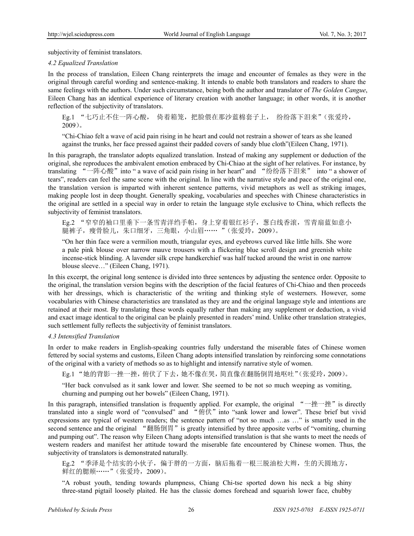subjectivity of feminist translators.

#### *4.2 Equalized Translation*

In the process of translation, Eileen Chang reinterprets the image and encounter of females as they were in the original through careful wording and sentence-making. It intends to enable both translators and readers to share the same feelings with the authors. Under such circumstance, being both the author and translator of *The Golden Cangue*, Eileen Chang has an identical experience of literary creation with another language; in other words, it is another reflection of the subjectivity of translators.

Eg.1 "七巧止不住一阵心酸, 倚着箱笼,把脸偎在那沙蓝棉套子上, 纷纷落下泪来"(张爱玲, 2009)。

"Chi-Chiao felt a wave of acid pain rising in he heart and could not restrain a shower of tears as she leaned against the trunks, her face pressed against their padded covers of sandy blue cloth"(Eileen Chang, 1971).

In this paragraph, the translator adopts equalized translation. Instead of making any supplement or deduction of the original, she reproduces the ambivalent emotion embraced by Chi-Chiao at the sight of her relatives. For instance, by translating "一阵心酸" into " a wave of acid pain rising in her heart" and "纷纷落下泪来" into " a shower of tears", readers can feel the same scene with the original. In line with the narrative style and pace of the original one, the translation version is imparted with inherent sentence patterns, vivid metaphors as well as striking images, making people lost in deep thought. Generally speaking, vocabularies and speeches with Chinese characteristics in the original are settled in a special way in order to retain the language style exclusive to China, which reflects the subjectivity of feminist translators.

Eg.2 "窄窄的袖口里垂下一条雪青洋绉手帕,身上穿着银红衫子,葱白线香滚,雪青扇蓝如意小 腿裤子,瘦骨脸儿,朱口细牙,三角眼,小山眉…… "(张爱玲,2009)。

"On her thin face were a vermilion mouth, triangular eyes, and eyebrows curved like little hills. She wore a pale pink blouse over narrow mauve trousers with a flickering blue scroll design and greenish white incense-stick blinding. A lavender silk crepe handkerchief was half tucked around the wrist in one narrow blouse sleeve…" (Eileen Chang, 1971).

In this excerpt, the original long sentence is divided into three sentences by adjusting the sentence order. Opposite to the original, the translation version begins with the description of the facial features of Chi-Chiao and then proceeds with her dressings, which is characteristic of the writing and thinking style of westerners. However, some vocabularies with Chinese characteristics are translated as they are and the original language style and intentions are retained at their most. By translating these words equally rather than making any supplement or deduction, a vivid and exact image identical to the original can be plainly presented in readers' mind. Unlike other translation strategies, such settlement fully reflects the subjectivity of feminist translators.

# *4.3 Intensified Translation*

In order to make readers in English-speaking countries fully understand the miserable fates of Chinese women fettered by social systems and customs, Eileen Chang adopts intensified translation by reinforcing some connotations of the original with a variety of methods so as to highlight and intensify narrative style of women.

Eg.1 "她的背影一挫一挫,俯伏了下去,她不像在哭,简直像在翻肠倒胃地呕吐"(张爱玲,2009)。

"Her back convulsed as it sank lower and lower. She seemed to be not so much weeping as vomiting, churning and pumping out her bowels" (Eileen Chang, 1971).

In this paragraph, intensified translation is frequently applied. For example, the original "一挫一挫"is directly translated into a single word of "convulsed" and "俯伏"into "sank lower and lower". These brief but vivid expressions are typical of western readers; the sentence pattern of "not so much …as …" is smartly used in the second sentence and the original "翻肠倒胃" is greatly intensified by three apposite verbs of "vomiting, churning and pumping out". The reason why Eileen Chang adopts intensified translation is that she wants to meet the needs of western readers and manifest her attitude toward the miserable fate encountered by Chinese women. Thus, the subjectivity of translators is demonstrated naturally.

Eg.2 "季泽是个结实的小伙子,偏于胖的一方面,脑后拖着一根三脱油松大辫,生的天圆地方, 鲜红的腮颊……"(张爱玲,2009)。

"A robust youth, tending towards plumpness, Chiang Chi-tse sported down his neck a big shiny three-stand pigtail loosely plaited. He has the classic domes forehead and squarish lower face, chubby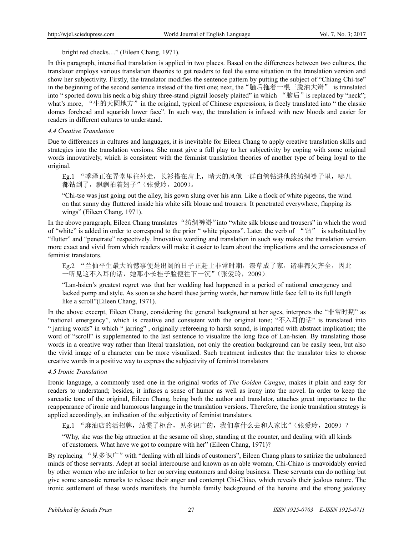bright red checks…" (Eileen Chang, 1971).

In this paragraph, intensified translation is applied in two places. Based on the differences between two cultures, the translator employs various translation theories to get readers to feel the same situation in the translation version and show her subjectivity. Firstly, the translator modifies the sentence pattern by putting the subject of "Chiang Chi-tse" in the beginning of the second sentence instead of the first one; next, the"脑后拖着一根三脱油大辫" is translated into " sported down his neck a big shiny three-stand pigtail loosely plaited" in which "脑后" is replaced by "neck"; what's more, "生的天圆地方" in the original, typical of Chinese expressions, is freely translated into " the classic domes forehead and squarish lower face". In such way, the translation is infused with new bloods and easier for readers in different cultures to understand.

# *4.4 Creative Translation*

Due to differences in cultures and languages, it is inevitable for Eileen Chang to apply creative translation skills and strategies into the translation versions. She must give a full play to her subjectivity by coping with some original words innovatively, which is consistent with the feminist translation theories of another type of being loyal to the original.

Eg.1 "季泽正在弄堂里往外走,长衫搭在肩上,晴天的风像一群白鸽钻进他的纺绸褂子里,哪儿 都钻到了,飘飘拍着翅子"(张爱玲,2009)。

"Chi-tse was just going out the alley, his gown slung over his arm. Like a flock of white pigeons, the wind on that sunny day fluttered inside his white silk blouse and trousers. It penetrated everywhere, flapping its wings" (Eileen Chang, 1971).

In the above paragraph, Eileen Chang translates "纺绸裤褂"into "white silk blouse and trousers" in which the word of "white" is added in order to correspond to the prior " white pigeons". Later, the verb of "钻" is substituted by "flutter" and "penetrate" respectively. Innovative wording and translation in such way makes the translation version more exact and vivid from which readers will make it easier to learn about the implications and the consciousness of feminist translators.

Eg.2 "兰仙平生最大的憾事便是出阁的日子正赶上非常时期,潦草成了家,诸事都欠齐全,因此 一听见这不入耳的话,她那小长桂子脸便往下一沉"(张爱玲,2009)。

"Lan-hsien's greatest regret was that her wedding had happened in a period of national emergency and lacked pomp and style. As soon as she heard these jarring words, her narrow little face fell to its full length like a scroll"(Eileen Chang, 1971).

In the above excerpt, Eileen Chang, considering the general background at her ages, interprets the "非常时期" as "national emergency", which is creative and consistent with the original tone; "不入耳的话" is translated into " jarring words" in which " jarring", originally refereeing to harsh sound, is imparted with abstract implication; the word of "scroll" is supplemented to the last sentence to visualize the long face of Lan-hsien. By translating those words in a creative way rather than literal translation, not only the creation background can be easily seen, but also the vivid image of a character can be more visualized. Such treatment indicates that the translator tries to choose creative words in a positive way to express the subjectivity of feminist translators

# *4.5 Ironic Translation*

Ironic language, a commonly used one in the original works of *The Golden Cangue*, makes it plain and easy for readers to understand; besides, it infuses a sense of humor as well as irony into the novel. In order to keep the sarcastic tone of the original, Eileen Chang, being both the author and translator, attaches great importance to the reappearance of ironic and humorous language in the translation versions. Therefore, the ironic translation strategy is applied accordingly, an indication of the subjectivity of feminist translators.

Eg.1 "麻油店的活招牌,站惯了柜台,见多识广的,我们拿什么去和人家比"(张爱玲,2009)?

"Why, she was the big attraction at the sesame oil shop, standing at the counter, and dealing with all kinds of customers. What have we got to compare with her" (Eileen Chang, 1971)?

By replacing "见多识广" with "dealing with all kinds of customers", Eileen Chang plans to satirize the unbalanced minds of those servants. Adept at social intercourse and known as an able woman, Chi-Chiao is unavoidably envied by other women who are inferior to her on serving customers and doing business. These servants can do nothing but give some sarcastic remarks to release their anger and contempt Chi-Chiao, which reveals their jealous nature. The ironic settlement of these words manifests the humble family background of the heroine and the strong jealousy